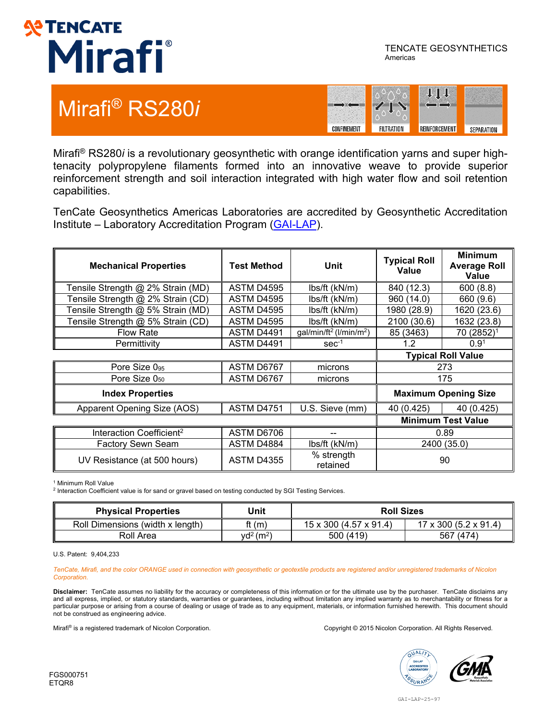

TENCATE GEOSYNTHETICS Americas

#### Mirafi® RS280*i*



Mirafi® RS280*i* is a revolutionary geosynthetic with orange identification yarns and super hightenacity polypropylene filaments formed into an innovative weave to provide superior reinforcement strength and soil interaction integrated with high water flow and soil retention capabilities.

TenCate Geosynthetics Americas Laboratories are accredited by Geosynthetic Accreditation Institute – Laboratory Accreditation Program [\(GAI-LAP\)](http://www.geosynthetic-institute.org/).

| <b>Mechanical Properties</b>         | <b>Test Method</b> | Unit                                            | <b>Typical Roll</b><br>Value | <b>Minimum</b><br><b>Average Roll</b><br>Value |
|--------------------------------------|--------------------|-------------------------------------------------|------------------------------|------------------------------------------------|
| Tensile Strength @ 2% Strain (MD)    | ASTM D4595         | lbs/ft (kN/m)                                   | 840 (12.3)                   | 600(8.8)                                       |
| Tensile Strength @ 2% Strain (CD)    | <b>ASTM D4595</b>  | lbs/ft (kN/m)                                   | 960 (14.0)                   | 660 (9.6)                                      |
| Tensile Strength @ 5% Strain (MD)    | <b>ASTM D4595</b>  | lbs/ft (kN/m)                                   | 1980 (28.9)                  | 1620 (23.6)                                    |
| Tensile Strength @ 5% Strain (CD)    | <b>ASTM D4595</b>  | lbs/ft (kN/m)                                   | 2100 (30.6)                  | 1632 (23.8)                                    |
| <b>Flow Rate</b>                     | ASTM D4491         | gal/min/ft <sup>2</sup> (l/min/m <sup>2</sup> ) | 85 (3463)                    | 70 (2852) <sup>1</sup>                         |
| Permittivity                         | ASTM D4491         | $sec-1$                                         | 1.2 <sub>2</sub>             | 0.9 <sup>1</sup>                               |
|                                      |                    |                                                 |                              | <b>Typical Roll Value</b>                      |
| Pore Size 095                        | ASTM D6767         | microns                                         | 273                          |                                                |
| Pore Size $0_{50}$                   | ASTM D6767         | microns                                         | 175                          |                                                |
| <b>Index Properties</b>              |                    |                                                 | <b>Maximum Opening Size</b>  |                                                |
| Apparent Opening Size (AOS)          | ASTM D4751         | U.S. Sieve (mm)                                 | 40 (0.425)                   | 40 (0.425)                                     |
|                                      |                    | <b>Minimum Test Value</b>                       |                              |                                                |
| Interaction Coefficient <sup>2</sup> | ASTM D6706         | --                                              | 0.89                         |                                                |
| <b>Factory Sewn Seam</b>             | ASTM D4884         | lbs/ft (kN/m)                                   |                              | 2400 (35.0)                                    |
| UV Resistance (at 500 hours)         | <b>ASTM D4355</b>  | % strength<br>retained                          |                              | 90                                             |

<sup>1</sup> Minimum Roll Value

<sup>2</sup> Interaction Coefficient value is for sand or gravel based on testing conducted by SGI Testing Services.

| <b>Physical Properties</b>       | Unit                           | <b>Roll Sizes</b>      |                                     |  |
|----------------------------------|--------------------------------|------------------------|-------------------------------------|--|
| Roll Dimensions (width x length) | ft (m)                         | 15 x 300 (4.57 x 91.4) | $17 \times 300$ (5.2 $\times$ 91.4) |  |
| Roll Area                        | $\text{yd}^2$ (m <sup>2)</sup> | 500 (419)              | 567 (474)                           |  |

U.S. Patent: 9,404,233

*TenCate, Mirafi, and the color ORANGE used in connection with geosynthetic or geotextile products are registered and/or unregistered trademarks of Nicolon Corporation.*

**Disclaimer:** TenCate assumes no liability for the accuracy or completeness of this information or for the ultimate use by the purchaser. TenCate disclaims any and all express, implied, or statutory standards, warranties or guarantees, including without limitation any implied warranty as to merchantability or fitness for a particular purpose or arising from a course of dealing or usage of trade as to any equipment, materials, or information furnished herewith. This document should not be construed as engineering advice.

Mirafi® is a registered trademark of Nicolon Corporation. Corporation Corporation Corporation All Rights Reserved.

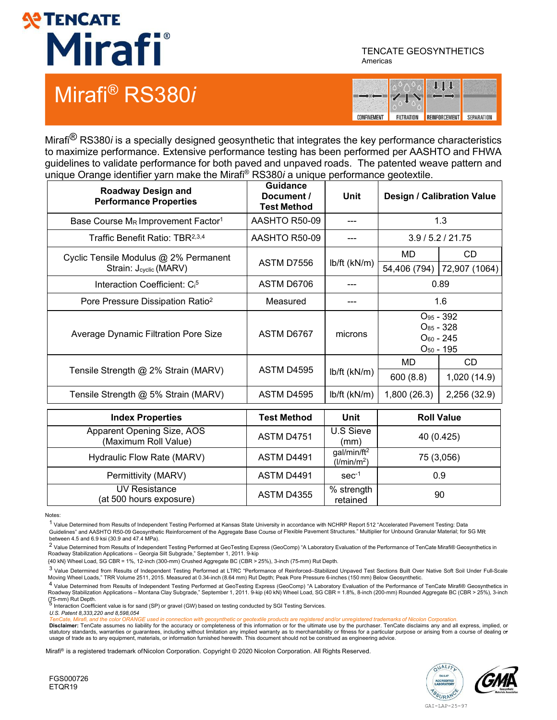# **SPENCATE** Mirafi®

### Mirafi® RS380*i*

TENCATE GEOSYNTHETICS Americas



Mirafi® RS380*i* is a specially designed geosynthetic that integrates the key performance characteristics to maximize performance. Extensive performance testing has been performed per AASHTO and FHWA guidelines to validate performance for both paved and unpaved roads. The patented weave pattern and unique Orange identifier yarn make the Mirafi® RS380*i* a unique performance geotextile.

| <b>Roadway Design and</b><br><b>Performance Properties</b>      | <b>Guidance</b><br>Document /<br><b>Test Method</b> | <b>Unit</b>                                        | <b>Design / Calibration Value</b>                  |                           |
|-----------------------------------------------------------------|-----------------------------------------------------|----------------------------------------------------|----------------------------------------------------|---------------------------|
| Base Course MR Improvement Factor <sup>1</sup>                  | AASHTO R50-09                                       | ---                                                | 1.3                                                |                           |
| Traffic Benefit Ratio: TBR <sup>2,3,4</sup>                     | AASHTO R50-09                                       | ---                                                | 3.9/5.2/21.75                                      |                           |
| Cyclic Tensile Modulus @ 2% Permanent<br>Strain: Jcyclic (MARV) | ASTM D7556                                          | lb/ft (kN/m)                                       | MD<br>54,406 (794)                                 | CD<br>72,907 (1064)       |
| Interaction Coefficient: C <sub>i</sub> <sup>5</sup>            | ASTM D6706                                          |                                                    | 0.89                                               |                           |
| Pore Pressure Dissipation Ratio <sup>2</sup>                    | Measured                                            | ---                                                |                                                    | 1.6                       |
| Average Dynamic Filtration Pore Size                            | ASTM D6767                                          | microns                                            | $O_{85} - 328$<br>$O_{60}$ - 245<br>$O_{50}$ - 195 | O <sub>95</sub> - 392     |
| Tensile Strength @ 2% Strain (MARV)                             | ASTM D4595                                          | $lb/ft$ ( $kN/m$ )                                 | <b>MD</b><br>600(8.8)                              | <b>CD</b><br>1,020 (14.9) |
| Tensile Strength @ 5% Strain (MARV)                             | ASTM D4595                                          | lb/ft (kN/m)                                       | 1,800 (26.3)                                       | 2,256 (32.9)              |
| <b>Index Properties</b>                                         | <b>Test Method</b>                                  | <b>Unit</b>                                        |                                                    | <b>Roll Value</b>         |
| Apparent Opening Size, AOS<br>(Maximum Roll Value)              | <b>ASTM D4751</b>                                   | <b>U.S Sieve</b><br>(mm)                           |                                                    | 40 (0.425)                |
| Hydraulic Flow Rate (MARV)                                      | ASTM D4491                                          | gal/min/ft <sup>2</sup><br>(l/min/m <sup>2</sup> ) | 75 (3,056)                                         |                           |
| Permittivity (MARV)                                             | ASTM D4491                                          | $sec-1$                                            | 0.9                                                |                           |
| <b>UV Resistance</b><br>(at 500 hours exposure)                 | <b>ASTM D4355</b>                                   | % strength<br>retained                             |                                                    | 90                        |

Notes:

<sup>1</sup> Value Determined from Results of Independent Testing Performed at Kansas State University in accordance with NCHRP Report 512 "Accelerated Pavement Testing: Data Guidelines" and AASHTO R50-09 Geosynthetic Reinforcement of the Aggregate Base Course of Flexible Pavement Structures." Multiplier for Unbound Granular Material; for SG MR between 4.5 and 6.9 ksi (30.9 and 47.4 MPa).

<sup>2</sup> Value Determined from Results of Independent Testing Performed at GeoTesting Express (GeoComp) "A Laboratory Evaluation of the Performance of TenCate Mirafi® Geosynthetics in Roadway Stabilization Applications – Georgia Silt Subgrade," September 1, 2011. 9-kip

{40 kN} Wheel Load, SG CBR = 1%, 12-inch (300-mm) Crushed Aggregate BC (CBR > 25%), 3-inch (75-mm) Rut Depth.

3 Value Determined from Results of Independent Testing Performed at LTRC "Performance of Reinforced–Stabilized Unpaved Test Sections Built Over Native Soft Soil Under Full-Scale Moving Wheel Loads," TRR Volume 2511, 2015. Measured at 0.34-inch (8.64 mm) Rut Depth; Peak Pore Pressure 6-inches (150 mm) Below Geosynthetic.

4 Value Determined from Results of Independent Testing Performed at GeoTesting Express (GeoComp) "A Laboratory Evaluation of the Performance of TenCate Mirafi® Geosynthetics in<br>Roadway Stabilization Applications – Montana (75-mm) Rut Depth.<br>The method Coefficient value is for sand (SP) or gravel (GW) based on testing conducted by SGI Testing Services.

*U.S. Patent 8,333,220 and 8,598,054*

and the color ORANGE used in connection with geosynthetic or geotextile products are registered and/or unregistered trademarks of Nicolon Corporation

**Disclaimer:** TenCate assumes no liability for the accuracy or completeness of this information or for the ultimate use by the purchaser. TenCate disclaims any and all express, implied, or statutory standards, warranties or guarantees, including without limitation any implied warranty as to merchantability or fitness for a particular purpose or arising from a course of dealing o<del>r</del><br>usage of trade as to any e

Mirafi® is a registered trademark ofNicolon Corporation. Copyright © 2020 Nicolon Corporation. All Rights Reserved.





GAI-LAP-25-97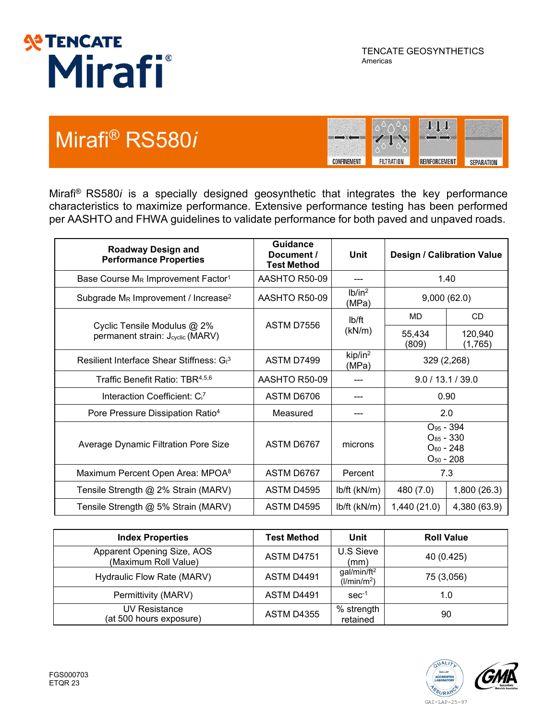

### Mirafi® RS580*i*



Mirafi® RS580*i* is a specially designed geosynthetic that integrates the key performance characteristics to maximize performance. Extensive performance testing has been performed per AASHTO and FHWA guidelines to validate performance for both paved and unpaved roads.

| <b>Roadway Design and</b><br><b>Performance Properties</b>                  | <b>Guidance</b><br>Document /<br><b>Test Method</b> | Unit                         | Design / Calibration Value                                           |                    |
|-----------------------------------------------------------------------------|-----------------------------------------------------|------------------------------|----------------------------------------------------------------------|--------------------|
| Base Course M <sub>R</sub> Improvement Factor <sup>1</sup>                  | AASHTO R50-09                                       |                              | 1.40                                                                 |                    |
| Subgrade M <sub>R</sub> Improvement / Increase <sup>2</sup>                 | AASHTO R50-09                                       | lb/in <sup>2</sup><br>(MPa)  | 9,000(62.0)                                                          |                    |
|                                                                             | ASTM D7556                                          | lb/ft<br>(kN/m)              | MD                                                                   | <b>CD</b>          |
| Cyclic Tensile Modulus @ 2%<br>permanent strain: J <sub>cyclic</sub> (MARV) |                                                     |                              | 55,434<br>(809)                                                      | 120,940<br>(1,765) |
| Resilient Interface Shear Stiffness: G <sub>1</sub> 3                       | ASTM D7499                                          | kip/in <sup>2</sup><br>(MPa) | 329 (2,268)                                                          |                    |
| Traffic Benefit Ratio: TBR <sup>4,5,6</sup>                                 | AASHTO R50-09                                       |                              | 9.0 / 13.1 / 39.0                                                    |                    |
| Interaction Coefficient: C <sub>i</sub> 7                                   | ASTM D6706                                          |                              | 0.90                                                                 |                    |
| Pore Pressure Dissipation Ratio <sup>4</sup>                                | Measured                                            |                              |                                                                      | 2.0                |
| Average Dynamic Filtration Pore Size                                        | ASTM D6767                                          | microns                      | $O_{95}$ - 394<br>$O_{85} - 330$<br>$O_{60}$ - 248<br>$O_{50}$ - 208 |                    |
| Maximum Percent Open Area: MPOA <sup>8</sup>                                | ASTM D6767                                          | Percent                      | 7.3                                                                  |                    |
| Tensile Strength @ 2% Strain (MARV)                                         | <b>ASTM D4595</b>                                   | lb/ft (kN/m)                 | 480 (7.0)                                                            | 1,800 (26.3)       |
| Tensile Strength @ 5% Strain (MARV)                                         | <b>ASTM D4595</b>                                   | lb/ft (kN/m)                 | 1,440(21.0)                                                          | 4,380 (63.9)       |

| <b>Index Properties</b>                            | <b>Test Method</b> | Unit                                               | <b>Roll Value</b> |
|----------------------------------------------------|--------------------|----------------------------------------------------|-------------------|
| Apparent Opening Size, AOS<br>(Maximum Roll Value) | <b>ASTM D4751</b>  | U.S Sieve<br>(mm)                                  | 40 (0.425)        |
| Hydraulic Flow Rate (MARV)                         | ASTM D4491         | gal/min/ft <sup>2</sup><br>(l/min/m <sup>2</sup> ) | 75 (3,056)        |
| Permittivity (MARV)                                | ASTM D4491         | $sec-1$                                            | 1.0               |
| <b>UV Resistance</b><br>(at 500 hours exposure)    | <b>ASTM D4355</b>  | % strength<br>retained                             | 90                |